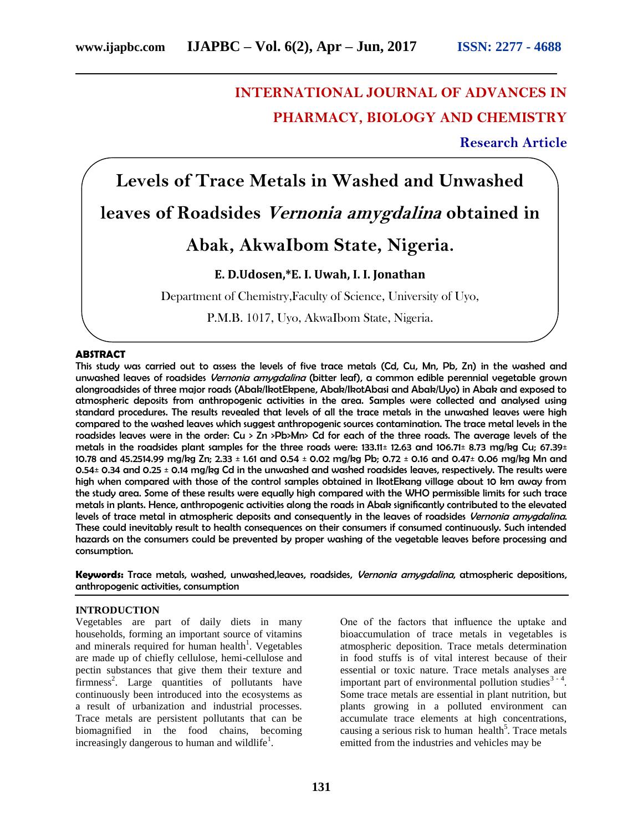# **INTERNATIONAL JOURNAL OF ADVANCES IN PHARMACY, BIOLOGY AND CHEMISTRY**

**Research Article**

# **Levels of Trace Metals in Washed and Unwashed leaves of Roadsides Vernonia amygdalina obtained in Abak, AkwaIbom State, Nigeria. E. D.Udosen,\*E. I. Uwah, I. I. Jonathan** Department of Chemistry,Faculty of Science, University of Uyo, P.M.B. 1017, Uyo, AkwaIbom State, Nigeria.

### **ABSTRACT**

This study was carried out to assess the levels of five trace metals (Cd, Cu, Mn, Pb, Zn) in the washed and unwashed leaves of roadsides *Vernonia amvadalina* (bitter leaf), a common edible perennial vegetable grown alongroadsides of three major roads (Abak/IkotEkpene, Abak/IkotAbasi and Abak/Uyo) in Abak and exposed to atmospheric deposits from anthropogenic activities in the area. Samples were collected and analysed using standard procedures. The results revealed that levels of all the trace metals in the unwashed leaves were high compared to the washed leaves which suggest anthropogenic sources contamination. The trace metal levels in the roadsides leaves were in the order: Cu > Zn >Pb>Mn> Cd for each of the three roads. The average levels of the metals in the roadsides plant samples for the three roads were: 133.11± 12.63 and 106.71± 8.73 mg/kg Cu; 67.39± 10.78 and 45.2514.99 mg/kg Zn; 2.33 ± 1.61 and 0.54 ± 0.02 mg/kg Pb; 0.72 ± 0.16 and 0.47± 0.06 mg/kg Mn and 0.54± 0.34 and 0.25 ± 0.14 mg/kg Cd in the unwashed and washed roadsides leaves, respectively. The results were high when compared with those of the control samples obtained in IkotEkang village about 10 km away from the study area. Some of these results were equally high compared with the WHO permissible limits for such trace metals in plants. Hence, anthropogenic activities along the roads in Abak significantly contributed to the elevated levels of trace metal in atmospheric deposits and consequently in the leaves of roadsides Vernonia amygdalina. These could inevitably result to health consequences on their consumers if consumed continuously. Such intended hazards on the consumers could be prevented by proper washing of the vegetable leaves before processing and consumption.

**Keywords:** Trace metals, washed, unwashed,leaves, roadsides, Vernonia amygdalina, atmospheric depositions, anthropogenic activities, consumption

### **INTRODUCTION**

Vegetables are part of daily diets in many households, forming an important source of vitamins and minerals required for human health<sup>1</sup>. Vegetables are made up of chiefly cellulose, hemi-cellulose and pectin substances that give them their texture and firmness<sup>2</sup>. Large quantities of pollutants have continuously been introduced into the ecosystems as a result of urbanization and industrial processes. Trace metals are persistent pollutants that can be biomagnified in the food chains, becoming increasingly dangerous to human and wildlife $<sup>1</sup>$ .</sup>

One of the factors that influence the uptake and bioaccumulation of trace metals in vegetables is atmospheric deposition. Trace metals determination in food stuffs is of vital interest because of their essential or toxic nature. Trace metals analyses are important part of environmental pollution studies<sup>3 - 4</sup>. Some trace metals are essential in plant nutrition, but plants growing in a polluted environment can accumulate trace elements at high concentrations, causing a serious risk to human health<sup>5</sup>. Trace metals emitted from the industries and vehicles may be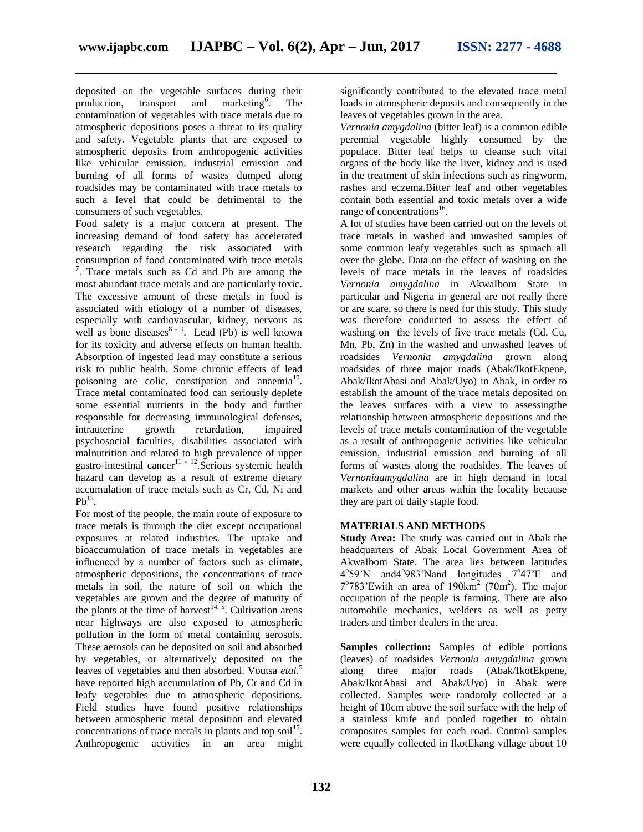deposited on the vegetable surfaces during their production, transport and marketing<sup>6</sup>. . The contamination of vegetables with trace metals due to atmospheric depositions poses a threat to its quality and safety. Vegetable plants that are exposed to atmospheric deposits from anthropogenic activities like vehicular emission, industrial emission and burning of all forms of wastes dumped along roadsides may be contaminated with trace metals to such a level that could be detrimental to the consumers of such vegetables.

Food safety is a major concern at present. The increasing demand of food safety has accelerated research regarding the risk associated with consumption of food contaminated with trace metals <sup>7</sup>. Trace metals such as Cd and Pb are among the most abundant trace metals and are particularly toxic. The excessive amount of these metals in food is associated with etiology of a number of diseases, especially with cardiovascular, kidney, nervous as well as bone diseases $8-9$ . Lead (Pb) is well known for its toxicity and adverse effects on human health. Absorption of ingested lead may constitute a serious risk to public health. Some chronic effects of lead poisoning are colic, constipation and anaemia $10$ . Trace metal contaminated food can seriously deplete some essential nutrients in the body and further responsible for decreasing immunological defenses, intrauterine growth retardation, impaired psychosocial faculties, disabilities associated with malnutrition and related to high prevalence of upper gastro-intestinal cancer<sup>11 - 12</sup>. Serious systemic health hazard can develop as a result of extreme dietary accumulation of trace metals such as Cr, Cd, Ni and  $Pb^{13}$ .

For most of the people, the main route of exposure to trace metals is through the diet except occupational exposures at related industries. The uptake and bioaccumulation of trace metals in vegetables are influenced by a number of factors such as climate, atmospheric depositions, the concentrations of trace metals in soil, the nature of soil on which the vegetables are grown and the degree of maturity of the plants at the time of harvest<sup>14,  $\overline{5}$ </sup>. Cultivation areas near highways are also exposed to atmospheric pollution in the form of metal containing aerosols. These aerosols can be deposited on soil and absorbed by vegetables, or alternatively deposited on the leaves of vegetables and then absorbed. Voutsa *etal.*<sup>5</sup> have reported high accumulation of Pb, Cr and Cd in leafy vegetables due to atmospheric depositions. Field studies have found positive relationships between atmospheric metal deposition and elevated concentrations of trace metals in plants and top soil<sup>15</sup>. Anthropogenic activities in an area might

significantly contributed to the elevated trace metal loads in atmospheric deposits and consequently in the leaves of vegetables grown in the area.

*Vernonia amygdalina* (bitter leaf) is a common edible perennial vegetable highly consumed by the populace. Bitter leaf helps to cleanse such vital organs of the body like the liver, kidney and is used in the treatment of skin infections such as ringworm, rashes and eczema.Bitter leaf and other vegetables contain both essential and toxic metals over a wide range of concentrations<sup>16</sup>.

A lot of studies have been carried out on the levels of trace metals in washed and unwashed samples of some common leafy vegetables such as spinach all over the globe. Data on the effect of washing on the levels of trace metals in the leaves of roadsides *Vernonia amygdalina* in AkwaIbom State in particular and Nigeria in general are not really there or are scare, so there is need for this study. This study was therefore conducted to assess the effect of washing on the levels of five trace metals (Cd, Cu, Mn, Pb, Zn) in the washed and unwashed leaves of roadsides *Vernonia amygdalina* grown along roadsides of three major roads (Abak/IkotEkpene, Abak/IkotAbasi and Abak/Uyo) in Abak, in order to establish the amount of the trace metals deposited on the leaves surfaces with a view to assessingthe relationship between atmospheric depositions and the levels of trace metals contamination of the vegetable as a result of anthropogenic activities like vehicular emission, industrial emission and burning of all forms of wastes along the roadsides. The leaves of *Vernoniaamygdalina* are in high demand in local markets and other areas within the locality because they are part of daily staple food.

# **MATERIALS AND METHODS**

**Study Area:** The study was carried out in Abak the headquarters of Abak Local Government Area of AkwaIbom State. The area lies between latitudes 4°59'N and 4°983'Nand longitudes 7°47'E and  $7^{\circ}783'$ Ewith an area of 190 $\text{km}^2$  (70m<sup>2</sup>). The major occupation of the people is farming. There are also automobile mechanics, welders as well as petty traders and timber dealers in the area.

**Samples collection:** Samples of edible portions (leaves) of roadsides *Vernonia amygdalina* grown along three major roads (Abak/IkotEkpene, Abak/IkotAbasi and Abak/Uyo) in Abak were collected. Samples were randomly collected at a height of 10cm above the soil surface with the help of a stainless knife and pooled together to obtain composites samples for each road. Control samples were equally collected in IkotEkang village about 10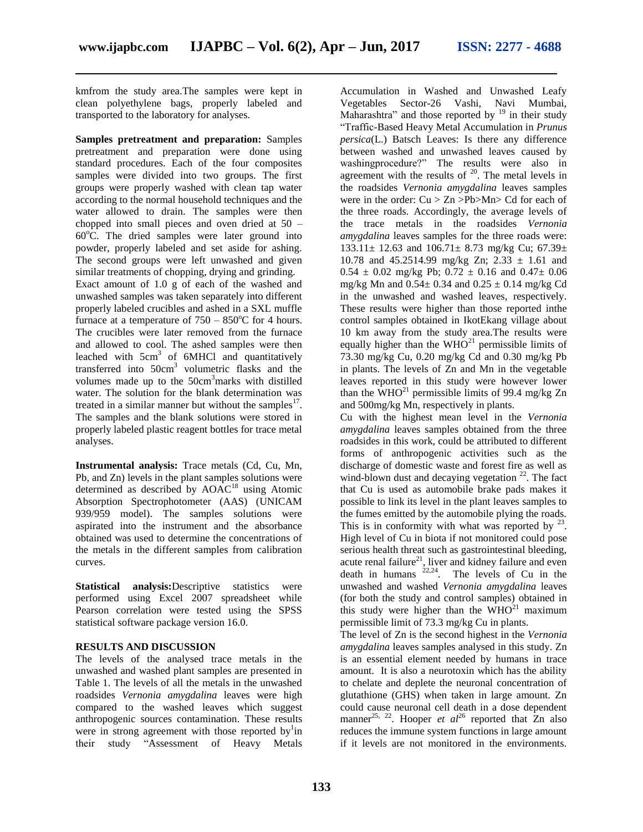kmfrom the study area.The samples were kept in clean polyethylene bags, properly labeled and transported to the laboratory for analyses.

**Samples pretreatment and preparation:** Samples pretreatment and preparation were done using standard procedures. Each of the four composites samples were divided into two groups. The first groups were properly washed with clean tap water according to the normal household techniques and the water allowed to drain. The samples were then chopped into small pieces and oven dried at 50 –  $60^{\circ}$ C. The dried samples were later ground into powder, properly labeled and set aside for ashing. The second groups were left unwashed and given similar treatments of chopping, drying and grinding.

Exact amount of 1.0 g of each of the washed and unwashed samples was taken separately into different properly labeled crucibles and ashed in a SXL muffle furnace at a temperature of  $750 - 850^{\circ}$ C for 4 hours. The crucibles were later removed from the furnace and allowed to cool. The ashed samples were then leached with  $5cm<sup>3</sup>$  of 6MHCl and quantitatively transferred into 50cm<sup>3</sup> volumetric flasks and the volumes made up to the 50cm<sup>3</sup>marks with distilled water. The solution for the blank determination was treated in a similar manner but without the samples $^{17}$ . The samples and the blank solutions were stored in properly labeled plastic reagent bottles for trace metal analyses.

**Instrumental analysis:** Trace metals (Cd, Cu, Mn, Pb, and Zn) levels in the plant samples solutions were determined as described by AOAC<sup>18</sup> using Atomic Absorption Spectrophotometer (AAS) (UNICAM 939/959 model). The samples solutions were aspirated into the instrument and the absorbance obtained was used to determine the concentrations of the metals in the different samples from calibration curves.

**Statistical analysis:**Descriptive statistics were performed using Excel 2007 spreadsheet while Pearson correlation were tested using the SPSS statistical software package version 16.0.

# **RESULTS AND DISCUSSION**

The levels of the analysed trace metals in the unwashed and washed plant samples are presented in Table 1. The levels of all the metals in the unwashed roadsides *Vernonia amygdalina* leaves were high compared to the washed leaves which suggest anthropogenic sources contamination. These results were in strong agreement with those reported by in their study "Assessment of Heavy Metals

Accumulation in Washed and Unwashed Leafy Vegetables Sector-26 Vashi, Navi Mumbai, Maharashtra" and those reported by  $19$  in their study "Traffic-Based Heavy Metal Accumulation in *Prunus persica*(L.) Batsch Leaves: Is there any difference between washed and unwashed leaves caused by washingprocedure?" The results were also in agreement with the results of  $20$ . The metal levels in the roadsides *Vernonia amygdalina* leaves samples were in the order:  $Cu > Zn > Pb > Mn > Cd$  for each of the three roads. Accordingly, the average levels of the trace metals in the roadsides *Vernonia amygdalina* leaves samples for the three roads were: 133.11± 12.63 and 106.71± 8.73 mg/kg Cu; 67.39± 10.78 and 45.2514.99 mg/kg Zn; 2.33 ± 1.61 and  $0.54 \pm 0.02$  mg/kg Pb;  $0.72 \pm 0.16$  and  $0.47 \pm 0.06$ mg/kg Mn and  $0.54 \pm 0.34$  and  $0.25 \pm 0.14$  mg/kg Cd in the unwashed and washed leaves, respectively. These results were higher than those reported inthe control samples obtained in IkotEkang village about 10 km away from the study area.The results were equally higher than the  $WHO^{21}$  permissible limits of 73.30 mg/kg Cu, 0.20 mg/kg Cd and 0.30 mg/kg Pb in plants. The levels of Zn and Mn in the vegetable leaves reported in this study were however lower than the  $\rm \dot{W}HO^{21}$  permissible limits of 99.4 mg/kg Zn and 500mg/kg Mn, respectively in plants.

Cu with the highest mean level in the *Vernonia amygdalina* leaves samples obtained from the three roadsides in this work, could be attributed to different forms of anthropogenic activities such as the discharge of domestic waste and forest fire as well as wind-blown dust and decaying vegetation  $^{22}$ . The fact that Cu is used as automobile brake pads makes it possible to link its level in the plant leaves samples to the fumes emitted by the automobile plying the roads. This is in conformity with what was reported by  $23$ . High level of Cu in biota if not monitored could pose serious health threat such as gastrointestinal bleeding, acute renal failure<sup>21</sup>, liver and kidney failure and even death in humans  $22.24$ . The levels of Cu in the unwashed and washed *Vernonia amygdalina* leaves (for both the study and control samples) obtained in this study were higher than the  $WHO^{21}$  maximum permissible limit of 73.3 mg/kg Cu in plants.

The level of Zn is the second highest in the *Vernonia amygdalina* leaves samples analysed in this study. Zn is an essential element needed by humans in trace amount. It is also a neurotoxin which has the ability to chelate and deplete the neuronal concentration of glutathione (GHS) when taken in large amount. Zn could cause neuronal cell death in a dose dependent manner<sup>25, 22</sup>. Hooper *et al*<sup>26</sup> reported that  $\overline{Z}$ n also reduces the immune system functions in large amount if it levels are not monitored in the environments.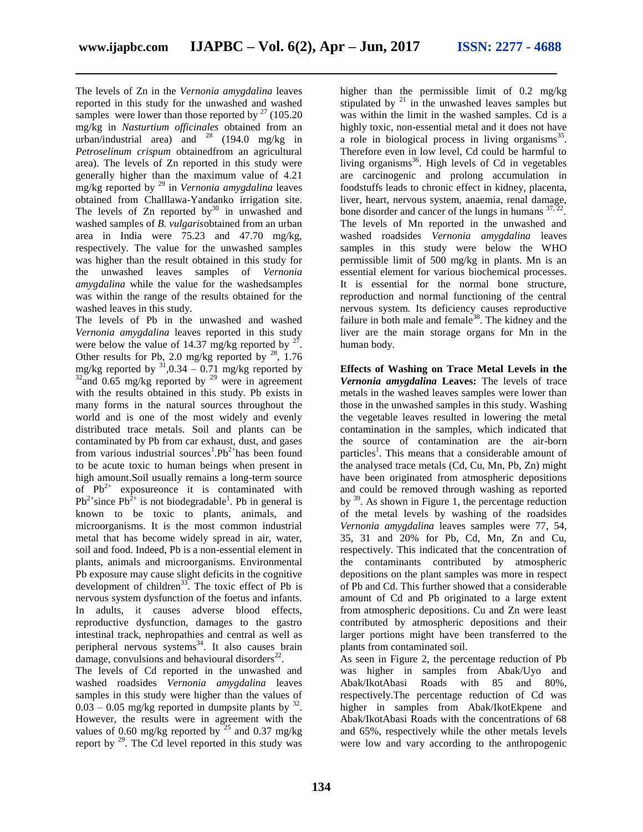The levels of Zn in the *Vernonia amygdalina* leaves reported in this study for the unwashed and washed samples were lower than those reported by  $27$  (105.20) mg/kg in *Nasturtium officinales* obtained from an mg/kg in *isturium cypenaics* because  $\ldots$  = *Petroselinum crispum* obtainedfrom an agricultural area). The levels of Zn reported in this study were generally higher than the maximum value of 4.21 mg/kg reported by <sup>29</sup> in *Vernonia amygdalina* leaves obtained from Challlawa-Yandanko irrigation site. The levels of  $Zn$  reported by $30$  in unwashed and washed samples of *B. vulgaris*obtained from an urban area in India were 75.23 and 47.70 mg/kg, respectively. The value for the unwashed samples was higher than the result obtained in this study for the unwashed leaves samples of *Vernonia amygdalina* while the value for the washedsamples was within the range of the results obtained for the washed leaves in this study.

The levels of Pb in the unwashed and washed *Vernonia amygdalina* leaves reported in this study were below the value of 14.37 mg/kg reported by  $2^7$ . Other results for Pb, 2.0 mg/kg reported by  $^{28}$ , 1.76 mg/kg reported by  $31,0.34 - 0.71$  mg/kg reported by  $32$ and 0.65 mg/kg reported by  $29$  were in agreement with the results obtained in this study. Pb exists in many forms in the natural sources throughout the world and is one of the most widely and evenly distributed trace metals. Soil and plants can be contaminated by Pb from car exhaust, dust, and gases from various industrial sources<sup>1</sup>.Pb<sup>2+</sup>has been found to be acute toxic to human beings when present in high amount.Soil usually remains a long-term source of  $Pb^{2+}$  exposureonce it is contaminated with  $Pb^{2+}$ since  $Pb^{2+}$  is not biodegradable<sup>1</sup>. Pb in general is known to be toxic to plants, animals, and microorganisms. It is the most common industrial metal that has become widely spread in air, water, soil and food. Indeed, Pb is a non-essential element in plants, animals and microorganisms. Environmental Pb exposure may cause slight deficits in the cognitive development of children<sup>33</sup>. The toxic effect of Pb is nervous system dysfunction of the foetus and infants. In adults, it causes adverse blood effects, reproductive dysfunction, damages to the gastro intestinal track, nephropathies and central as well as peripheral nervous systems <sup>34</sup>. It also causes brain damage, convulsions and behavioural disorders $^{22}$ .

The levels of Cd reported in the unwashed and washed roadsides *Vernonia amygdalina* leaves samples in this study were higher than the values of  $0.03 - 0.05$  mg/kg reported in dumpsite plants by  $^{32}$ . However, the results were in agreement with the values of 0.60 mg/kg reported by  $25$  and 0.37 mg/kg report by  $^{29}$ . The Cd level reported in this study was

higher than the permissible limit of 0.2 mg/kg stipulated by  $21$  in the unwashed leaves samples but was within the limit in the washed samples. Cd is a highly toxic, non-essential metal and it does not have a role in biological process in living organisms<sup>35</sup>. Therefore even in low level, Cd could be harmful to living organisms<sup>36</sup>. High levels of Cd in vegetables are carcinogenic and prolong accumulation in foodstuffs leads to chronic effect in kidney, placenta, liver, heart, nervous system, anaemia, renal damage, bone disorder and cancer of the lungs in humans  $37,2$ . The levels of Mn reported in the unwashed and washed roadsides *Vernonia amygdalina* leaves samples in this study were below the WHO permissible limit of 500 mg/kg in plants. Mn is an essential element for various biochemical processes. It is essential for the normal bone structure, reproduction and normal functioning of the central nervous system. Its deficiency causes reproductive failure in both male and female<sup>38</sup>. The kidney and the liver are the main storage organs for Mn in the human body.

**Effects of Washing on Trace Metal Levels in the**  *Vernonia amygdalina* **Leaves:** The levels of trace metals in the washed leaves samples were lower than those in the unwashed samples in this study. Washing the vegetable leaves resulted in lowering the metal contamination in the samples, which indicated that the source of contamination are the air-born particles<sup>1</sup>. This means that a considerable amount of the analysed trace metals (Cd, Cu, Mn, Pb, Zn) might have been originated from atmospheric depositions and could be removed through washing as reported by  $39$ . As shown in Figure 1, the percentage reduction of the metal levels by washing of the roadsides *Vernonia amygdalina* leaves samples were 77, 54, 35, 31 and 20% for Pb, Cd, Mn, Zn and Cu, respectively. This indicated that the concentration of the contaminants contributed by atmospheric depositions on the plant samples was more in respect of Pb and Cd. This further showed that a considerable amount of Cd and Pb originated to a large extent from atmospheric depositions. Cu and Zn were least contributed by atmospheric depositions and their larger portions might have been transferred to the plants from contaminated soil.

As seen in Figure 2, the percentage reduction of Pb was higher in samples from Abak/Uyo and Abak/IkotAbasi Roads with 85 and 80%, respectively.The percentage reduction of Cd was higher in samples from Abak/IkotEkpene and Abak/IkotAbasi Roads with the concentrations of 68 and 65%, respectively while the other metals levels were low and vary according to the anthropogenic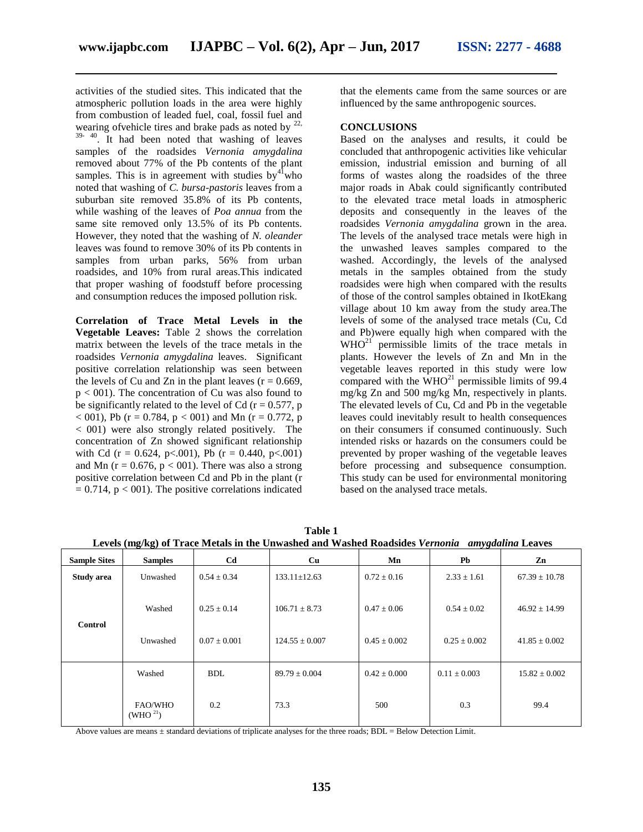activities of the studied sites. This indicated that the atmospheric pollution loads in the area were highly from combustion of leaded fuel, coal, fossil fuel and wearing of vehicle tires and brake pads as noted by  $^{22}$ , <sup>39- 40</sup>. It had been noted that washing of leaves samples of the roadsides *Vernonia amygdalina* removed about 77% of the Pb contents of the plant samples. This is in agreement with studies  $by<sup>41</sup>who$ noted that washing of *C. bursa-pastoris* leaves from a suburban site removed 35.8% of its Pb contents, while washing of the leaves of *Poa annua* from the same site removed only 13.5% of its Pb contents. However, they noted that the washing of *N. oleander* leaves was found to remove 30% of its Pb contents in samples from urban parks, 56% from urban roadsides, and 10% from rural areas.This indicated that proper washing of foodstuff before processing and consumption reduces the imposed pollution risk.

**Correlation of Trace Metal Levels in the Vegetable Leaves:** Table 2 shows the correlation matrix between the levels of the trace metals in the roadsides *Vernonia amygdalina* leaves. Significant positive correlation relationship was seen between the levels of Cu and Zn in the plant leaves  $(r = 0.669)$ , p < 001). The concentration of Cu was also found to be significantly related to the level of Cd ( $r = 0.577$ , p  $< 001$ ), Pb (r = 0.784, p  $< 001$ ) and Mn (r = 0.772, p < 001) were also strongly related positively. The concentration of Zn showed significant relationship with Cd (r = 0.624, p < 0.01), Pb (r = 0.440, p < 0.01) and Mn ( $r = 0.676$ ,  $p < 001$ ). There was also a strong positive correlation between Cd and Pb in the plant (r  $= 0.714$ ,  $p < 001$ ). The positive correlations indicated

that the elements came from the same sources or are influenced by the same anthropogenic sources.

## **CONCLUSIONS**

Based on the analyses and results, it could be concluded that anthropogenic activities like vehicular emission, industrial emission and burning of all forms of wastes along the roadsides of the three major roads in Abak could significantly contributed to the elevated trace metal loads in atmospheric deposits and consequently in the leaves of the roadsides *Vernonia amygdalina* grown in the area. The levels of the analysed trace metals were high in the unwashed leaves samples compared to the washed. Accordingly, the levels of the analysed metals in the samples obtained from the study roadsides were high when compared with the results of those of the control samples obtained in IkotEkang village about 10 km away from the study area.The levels of some of the analysed trace metals (Cu, Cd and Pb)were equally high when compared with the  $WHO<sup>21</sup>$  permissible limits of the trace metals in plants. However the levels of Zn and Mn in the vegetable leaves reported in this study were low compared with the  $\text{WHO}^{21}$  permissible limits of 99.4 mg/kg Zn and 500 mg/kg Mn, respectively in plants. The elevated levels of Cu, Cd and Pb in the vegetable leaves could inevitably result to health consequences on their consumers if consumed continuously. Such intended risks or hazards on the consumers could be prevented by proper washing of the vegetable leaves before processing and subsequence consumption. This study can be used for environmental monitoring based on the analysed trace metals.

| Levels (mg/kg) of Trace Metals in the Unwashed and Washed Roadsides Vernonia<br><i>amygdalina</i> Leaves |                           |                                     |                                         |                                     |                                     |                                        |  |  |  |
|----------------------------------------------------------------------------------------------------------|---------------------------|-------------------------------------|-----------------------------------------|-------------------------------------|-------------------------------------|----------------------------------------|--|--|--|
| <b>Sample Sites</b>                                                                                      | <b>Samples</b>            | C <sub>d</sub>                      | <b>Cu</b>                               | Mn                                  | Pb                                  | Zn                                     |  |  |  |
| Study area                                                                                               | Unwashed                  | $0.54 \pm 0.34$                     | $133.11 \pm 12.63$                      | $0.72 \pm 0.16$                     | $2.33 \pm 1.61$                     | $67.39 \pm 10.78$                      |  |  |  |
| <b>Control</b>                                                                                           | Washed<br>Unwashed        | $0.25 \pm 0.14$<br>$0.07 \pm 0.001$ | $106.71 \pm 8.73$<br>$124.55 \pm 0.007$ | $0.47 \pm 0.06$<br>$0.45 \pm 0.002$ | $0.54 \pm 0.02$<br>$0.25 \pm 0.002$ | $46.92 \pm 14.99$<br>$41.85 \pm 0.002$ |  |  |  |
|                                                                                                          | Washed                    | <b>BDL</b>                          | $89.79 \pm 0.004$                       | $0.42 \pm 0.000$                    | $0.11 \pm 0.003$                    | $15.82 \pm 0.002$                      |  |  |  |
|                                                                                                          | FAO/WHO<br>(WHO $^{21}$ ) | 0.2                                 | 73.3                                    | 500                                 | 0.3                                 | 99.4                                   |  |  |  |

**Table 1 Levels (mg/kg) of Trace Metals in the Unwashed and Washed Roadsides** *Vernonia amygdalina* **Leaves**

Above values are means  $\pm$  standard deviations of triplicate analyses for the three roads; BDL = Below Detection Limit.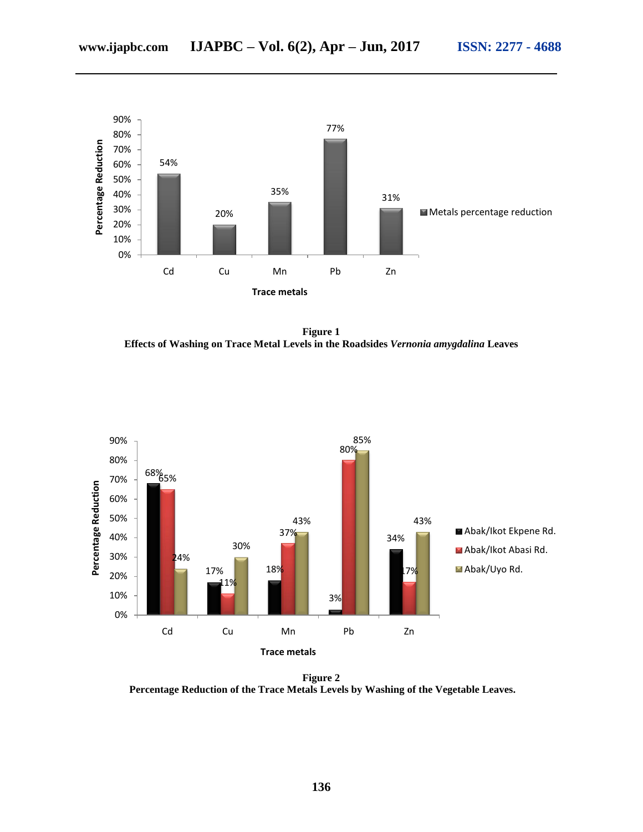

**Figure 1 Effects of Washing on Trace Metal Levels in the Roadsides** *Vernonia amygdalina* **Leaves**



**Figure 2 Percentage Reduction of the Trace Metals Levels by Washing of the Vegetable Leaves.**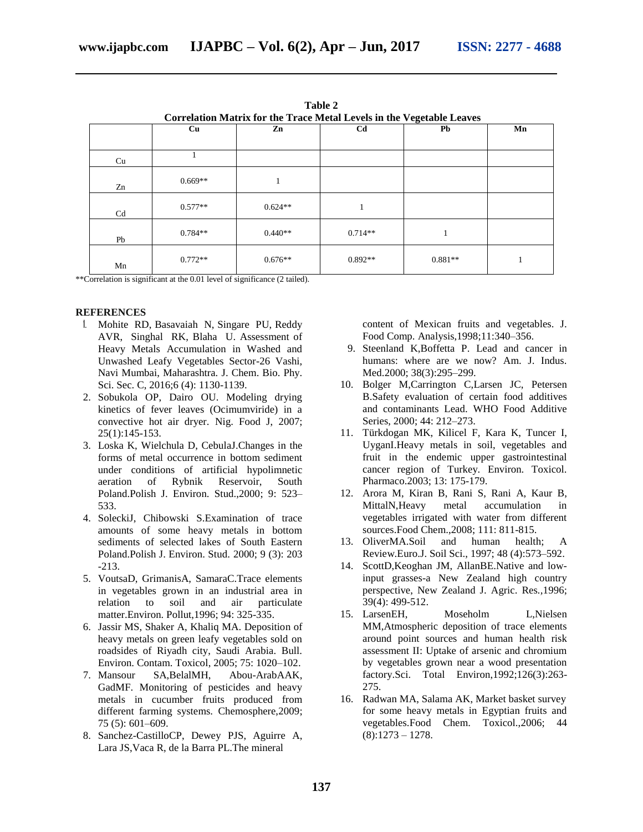| Correlation Matrix for the Trace Metal Levels in the Vegetable Leaves |           |           |           |           |    |  |  |  |  |
|-----------------------------------------------------------------------|-----------|-----------|-----------|-----------|----|--|--|--|--|
|                                                                       | Cu        | Zn        | Cd        | Pb        | Mn |  |  |  |  |
|                                                                       |           |           |           |           |    |  |  |  |  |
| Cu                                                                    |           |           |           |           |    |  |  |  |  |
| Zn                                                                    | $0.669**$ | л.        |           |           |    |  |  |  |  |
| Cd                                                                    | $0.577**$ | $0.624**$ |           |           |    |  |  |  |  |
| Pb                                                                    | $0.784**$ | $0.440**$ | $0.714**$ |           |    |  |  |  |  |
| Mn                                                                    | $0.772**$ | $0.676**$ | $0.892**$ | $0.881**$ |    |  |  |  |  |

**Table 2**

\*\*Correlation is significant at the 0.01 level of significance (2 tailed).

#### **REFERENCES**

- 1. Mohite RD, Basavaiah N, Singare PU, Reddy AVR, Singhal RK, Blaha U. Assessment of Heavy Metals Accumulation in Washed and Unwashed Leafy Vegetables Sector-26 Vashi, Navi Mumbai, Maharashtra. J. Chem. Bio. Phy. Sci. Sec. C, 2016;6 (4): 1130-1139.
- 2. Sobukola OP, Dairo OU. Modeling drying kinetics of fever leaves (Ocimumviride) in a convective hot air dryer. Nig. Food J, 2007; 25(1):145-153.
- 3. Loska K, Wielchula D, CebulaJ.Changes in the forms of metal occurrence in bottom sediment under conditions of artificial hypolimnetic aeration of Rybnik Reservoir, South Poland.Polish J. Environ. Stud.,2000; 9: 523– 533.
- 4. SoleckiJ, Chibowski S.Examination of trace amounts of some heavy metals in bottom sediments of selected lakes of South Eastern Poland.Polish J. Environ. Stud. 2000; 9 (3): 203 -213.
- 5. VoutsaD, GrimanisA, SamaraC.Trace elements in vegetables grown in an industrial area in relation to soil and air particulate matter.Environ. Pollut,1996; 94: 325-335.
- 6. Jassir MS, Shaker A, Khaliq MA. Deposition of heavy metals on green leafy vegetables sold on roadsides of Riyadh city, Saudi Arabia. Bull. Environ. Contam. Toxicol, 2005; 75: 1020–102.
- 7. Mansour SA,BelalMH, Abou-ArabAAK, GadMF. Monitoring of pesticides and heavy metals in cucumber fruits produced from different farming systems. Chemosphere,2009; 75 (5): 601–609.
- 8. Sanchez-CastilloCP, Dewey PJS, Aguirre A, Lara JS,Vaca R, de la Barra PL.The mineral

content of Mexican fruits and vegetables. J. Food Comp. Analysis,1998;11:340–356.

- 9. Steenland K,Boffetta P. Lead and cancer in humans: where are we now? Am. J. Indus. Med.2000; 38(3):295-299.
- 10. Bolger M,Carrington C,Larsen JC, Petersen B.Safety evaluation of certain food additives and contaminants Lead. WHO Food Additive Series, 2000; 44: 212–273.
- 11. Türkdogan MK, Kilicel F, Kara K, Tuncer I, UyganI.Heavy metals in soil, vegetables and fruit in the endemic upper gastrointestinal cancer region of Turkey. Environ. Toxicol. Pharmaco.2003; 13: 175-179.
- 12. Arora M, Kiran B, Rani S, Rani A, Kaur B, MittalN,Heavy metal accumulation in vegetables irrigated with water from different sources.Food Chem.,2008; 111: 811-815.
- 13. OliverMA.Soil and human health; A Review.Euro.J. Soil Sci., 1997; 48 (4):573–592.
- 14. ScottD,Keoghan JM, AllanBE.Native and lowinput grasses-a New Zealand high country perspective, New Zealand J. Agric. Res*.,*1996; 39(4): 499-512.
- 15. LarsenEH, Moseholm L,Nielsen MM,Atmospheric deposition of trace elements around point sources and human health risk assessment II: Uptake of arsenic and chromium by vegetables grown near a wood presentation factory.Sci. Total Environ,1992;126(3):263- 275.
- 16. Radwan MA, Salama AK, Market basket survey for some heavy metals in Egyptian fruits and vegetables.Food Chem. Toxicol.,2006; 44  $(8):1273 - 1278.$